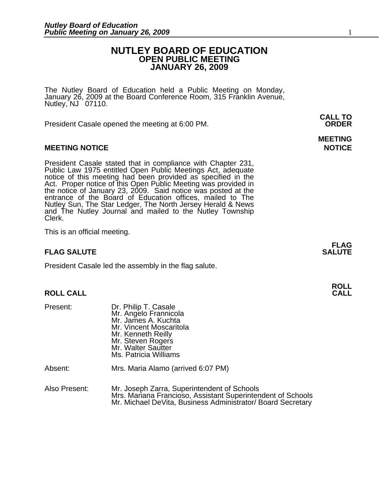### **NUTLEY BOARD OF EDUCATION OPEN PUBLIC MEETING JANUARY 26, 2009**

The Nutley Board of Education held a Public Meeting on Monday, January 26, 2009 at the Board Conference Room, 315 Franklin Avenue, Nutley,  $NJ$  07110.

President Casale opened the meeting at 6:00 PM. **ORDER**

#### **MEETING NOTICE NOTICE AND RESERVE ASSESS**

President Casale stated that in compliance with Chapter 231,<br>Public Law 1975 entitled Open Public Meetings Act, adequate<br>notice of this meeting had been provided as specified in the<br>Act. Proper notice of this Open Public M the notice of January 23, 2009. Said notice was posted at the<br>entrance of the Board of Education offices, mailed to The Nutley Sun, The Star Ledger, The North Jersey Herald & News and The Nutley Journal and mailed to the Nutley Township Clerk.

This is an official meeting.

#### **FLAG SALUTE** SALUTE SALUTE SALUTE SALUTE SALUTE

President Casale led the assembly in the flag salute.

### **ROLL ROLL CALL CALL**

| Present:      | Dr. Philip T. Casale<br>Mr. Angelo Frannicola<br>Mr. James A. Kuchta<br>Mr. Vincent Moscaritola<br>Mr. Kenneth Reilly<br>Mr. Steven Rogers<br>Mr. Walter Sautter<br>Ms. Patricia Williams |  |
|---------------|-------------------------------------------------------------------------------------------------------------------------------------------------------------------------------------------|--|
| Absent:       | Mrs. Maria Alamo (arrived 6:07 PM)                                                                                                                                                        |  |
| Also Present: | Mr. Joseph Zarra, Superintendent of Schools<br>Mrs. Mariana Francioso, Assistant Superintendent of Schools<br>Mr. Michael DeVita, Business Administrator/ Board Secretary                 |  |

**CALL TO** 

## **MEETING**

**FLAG**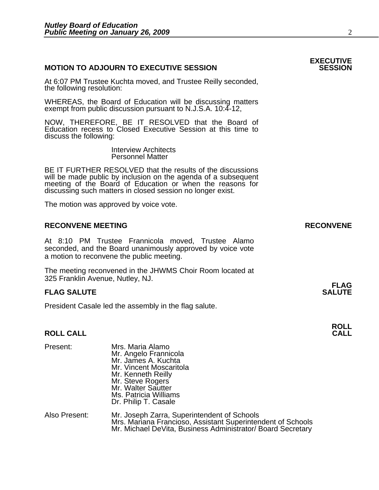#### **MOTION TO ADJOURN TO EXECUTIVE SESSION**

At 6:07 PM Trustee Kuchta moved, and Trustee Reilly seconded, the following resolution:

WHEREAS, the Board of Education will be discussing matters exempt from public discussion pursuant to N.J.S.A. 10:4-12,

NOW, THEREFORE, BE IT RESOLVED that the Board of Education recess to Closed Executive Session at this time to discuss the following:

> Interview Architects Personnel Matter

 BE IT FURTHER RESOLVED that the results of the discussions will be made public by inclusion on the agenda of a subsequent meeting of the Board of Education or when the reasons for discussing such matters in closed session no longer exist.

The motion was approved by voice vote.

#### **RECONVENE MEETING RECONVENE**

At 8:10 PM Trustee Frannicola moved, Trustee Alamo seconded, and the Board unanimously approved by voice vote a motion to reconvene the public meeting.

The meeting reconvened in the JHWMS Choir Room located at 325 Franklin Avenue, Nutley, NJ.

#### **FLAG FLAG SALUTE** SALUTE SALUTE SALUTE SALUTE SALUTE

President Casale led the assembly in the flag salute.

### **ROLL ROLL CALL CALL**

| Present:      | Mrs. Maria Alamo<br>Mr. Angelo Frannicola<br>Mr. James A. Kuchta<br>Mr. Vincent Moscaritola<br>Mr. Kenneth Reilly<br>Mr. Steve Rogers<br>Mr. Walter Sautter<br>Ms. Patricia Williams<br>Dr. Philip T. Casale |
|---------------|--------------------------------------------------------------------------------------------------------------------------------------------------------------------------------------------------------------|
| Also Present: | Mr. Joseph Zarra, Superintendent of Schools<br>Mrs. Mariana Francioso, Assistant Superintendent of Schools<br>Mr. Michael DeVita, Business Administrator/ Board Secretary                                    |

## **EXECUTIVE**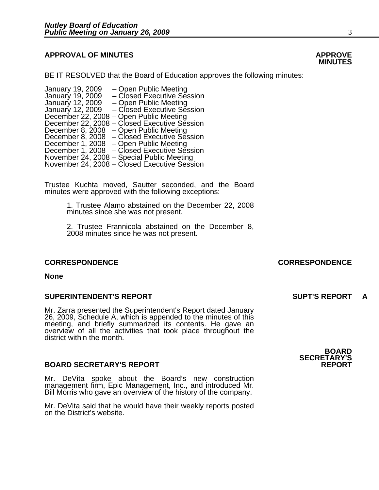#### **APPROVAL OF MINUTES APPROVE**

BE IT RESOLVED that the Board of Education approves the following minutes:

| January 19, 2009 | - Open Public Meeting                        |
|------------------|----------------------------------------------|
| January 19, 2009 | - Closed Executive Session                   |
| January 12, 2009 | - Open Public Meeting                        |
| January 12, 2009 | - Closed Executive Session                   |
|                  | December 22, 2008 – Open Public Meeting      |
|                  | December 22, 2008 – Closed Executive Session |
|                  | December 8, 2008 – Open Public Meeting       |
|                  | December 8, 2008 – Closed Executive Session  |
|                  | December 1, 2008 – Open Public Meeting       |
|                  | December 1, 2008 – Closed Executive Session  |
|                  | November 24, 2008 – Special Public Meeting   |
|                  | November 24, 2008 – Closed Executive Session |

Trustee Kuchta moved, Sautter seconded, and the Board minutes were approved with the following exceptions:

> 1. Trustee Alamo abstained on the December 22, 2008 minutes since she was not present.

> 2. Trustee Frannicola abstained on the December 8, 2008 minutes since he was not present.

**None** 

#### **SUPERINTENDENT'S REPORT SUPT'S REPORT A**

Mr. Zarra presented the Superintendent's Report dated January<br>26, 2009, Schedule A, which is appended to the minutes of this<br>meeting, and briefly summarized its contents. He gave an<br>overview of all the activities that took district within the month.

#### **BOARD SECRETARY'S REPORT**

Mr. DeVita spoke about the Board's new construction management firm, Epic Management, Inc., and introduced Mr. Bill Morris who gave an overview of the history of the company.

Mr. DeVita said that he would have their weekly reports posted on the District's website.

**BOARD SECRETARY'S** 

### **MINUTES**

#### **CORRESPONDENCE CORRESPONDENCE**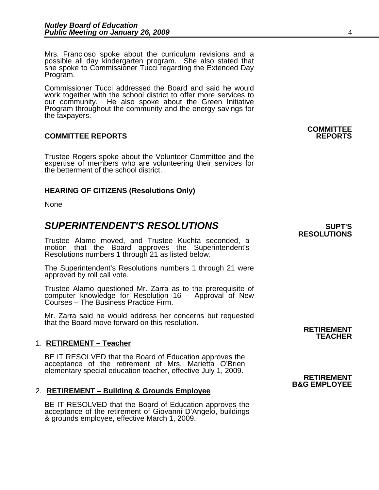Mrs. Francioso spoke about the curriculum revisions and a possible all day kindergarten program. She also stated that she spoke to Commissioner Tucci regarding the Extended Day Program.

Commissioner Tucci addressed the Board and said he would work together with the school district to offer more services to our community. He also spoke about the Green Initiative He also spoke about the Green Initiative Program throughout the community and the energy savings for the taxpayers.

#### **COMMITTEE REPORTS REPORTS**

Trustee Rogers spoke about the Volunteer Committee and the expertise of members who are volunteering their services for the betterment of the school district.

#### **HEARING OF CITIZENS (Resolutions Only)**

None

### **SUPERINTENDENT'S RESOLUTIONS EXAMPLE ASSESSED ASSESSED ASSESSED ASSESSED ASSESSED ASSESSED ASSESSED ASSESSED ASSESSED ASSESSED ASSESSED ASSESSED ASSESSED ASSESSED ASSESSED ASSESSED ASSESSED ASSESSED ASSESSED ASSESSED AS**

Trustee Alamo moved, and Trustee Kuchta seconded, a motion that the Board approves the Superintendent's Resolutions numbers 1 through 21 as listed below.

The Superintendent's Resolutions numbers 1 through 21 were approved by roll call vote.

Trustee Alamo questioned Mr. Zarra as to the prerequisite of computer knowledge for Resolution 16 – Approval of New Courses – The Business Practice Firm.

Mr. Zarra said he would address her concerns but requested that the Board move forward on this resolution.

#### 1. **RETIREMENT – Teacher**

BE IT RESOLVED that the Board of Education approves the acceptance of the retirement of Mrs. Marietta O'Brien elementary special education teacher, effective July 1, 2009. **RETIREMENT** 

#### 2. **RETIREMENT – Building & Grounds Employee**

BE IT RESOLVED that the Board of Education approves the acceptance of the retirement of Giovanni D'Angelo, buildings & grounds employee, effective March 1, 2009.

**RESOLUTIONS** 

**COMMITTEE** 

## **B&G EMPLOYEE**

**RETIREMENT TEACHER**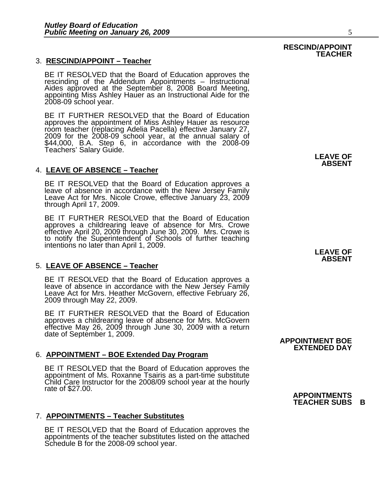#### 3. **RESCIND/APPOINT – Teacher**

BE IT RESOLVED that the Board of Education approves the rescinding of the Addendum Appointments – Instructional Aides approved at the September 8, 2008 Board Meeting, appointing Miss Ashley Hauer as an Instructional Aide for the 2008-09 school year.

BE IT FURTHER RESOLVED that the Board of Education approves the appointment of Miss Ashley Hauer as resource room teacher (replacing Adelia Pacella) effective January 27,<br>2009 for the 2008-09 school year, at the annual salary of<br>\$44,000, B.A. Step 6, in accordance with the 2008-09 Teachers' Salary Guide. **LEAVE OF** 

#### 4. **LEAVE OF ABSENCE – Teacher**

BE IT RESOLVED that the Board of Education approves a leave of absence in accordance with the New Jersey Family Leave Act for Mrs. Nicole Crowe, effective January 23, 2009 through April 17, 2009.

BE IT FURTHER RESOLVED that the Board of Education approves a childrearing leave of absence for Mrs. Crowe effective April 20, 2009 through June 30, 2009. Mrs. Crowe is to notify the Superintendent of Schools of further teaching intentions no later than April 1, 2009.

#### 5. **LEAVE OF ABSENCE – Teacher**

BE IT RESOLVED that the Board of Education approves a leave of absence in accordance with the New Jersey Family Leave Act for Mrs. Heather McGovern, effective February 26, 2009 through May 22, 2009.

BE IT FURTHER RESOLVED that the Board of Education approves a childrearing leave of absence for Mrs. McGovern effective May 26, 2009 through June 30, 2009 with a return date of September 1, 2009.

#### 6. **APPOINTMENT – BOE Extended Day Program**

BE IT RESOLVED that the Board of Education approves the appointment of Ms. Roxanne Tsairis as a part-time substitute Child Care Instructor for the 2008/09 school year at the hourly rate of \$27.00.

#### 7. **APPOINTMENTS – Teacher Substitutes**

BE IT RESOLVED that the Board of Education approves the appointments of the teacher substitutes listed on the attached Schedule B for the 2008-09 school year.

**ABSENT** 

**LEAVE OF ABSENT** 

 **APPOINTMENT BOE EXTENDED DAY** 

#### **RESCIND/APPOINT TEACHER**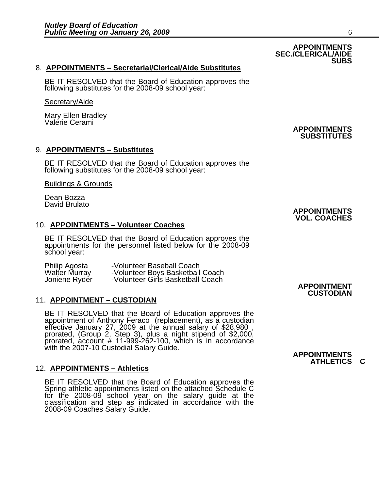#### 8. **APPOINTMENTS – Secretarial/Clerical/Aide Substitutes**

BE IT RESOLVED that the Board of Education approves the following substitutes for the 2008-09 school year:

#### Secretary/Aide

Mary Ellen Bradley Valerie Cerami

#### 9. **APPOINTMENTS – Substitutes**

BE IT RESOLVED that the Board of Education approves the following substitutes for the 2008-09 school year:

Buildings & Grounds

Dean Bozza David Brulato

#### 10. **APPOINTMENTS – Volunteer Coaches**

BE IT RESOLVED that the Board of Education approves the appointments for the personnel listed below for the 2008-09 school year:

|                                | -Volunteer Baseball Coach         |                    |
|--------------------------------|-----------------------------------|--------------------|
| Philip Agosta<br>Walter Murray | -Volunteer Boys Basketball Coach  |                    |
| Joniene Ryder                  | -Volunteer Girls Basketball Coach |                    |
|                                |                                   | <b>APPOINTMENT</b> |

#### 11. **APPOINTMENT – CUSTODIAN**

BE IT RESOLVED that the Board of Education approves the appointment of Anthony Feraco (replacement), as a custodian effective January 27, 2009 at the annual salary of \$28,980 , prorated, (Group 2, Step 3), plus a night stipend of \$2,000,<br>prorated, account # 11-999-262-100, which is in accordance with the 2007-10 Custodial Salary Guide.<br>**APPOINTMENTS** 

#### 12. **APPOINTMENTS – Athletics**

BE IT RESOLVED that the Board of Education approves the Spring athletic appointments listed on the attached Schedule C for the 2008-09 school year on the salary guide at the classification and step as indicated in accordance with the 2008-09 Coaches Salary Guide.

**CUSTODIAN** 

#### **APPOINTMENTS SEC./CLERICAL/AIDE SUBS**

**APPOINTMENTS SUBSTITUTES** 

**ATHLETICS C** 

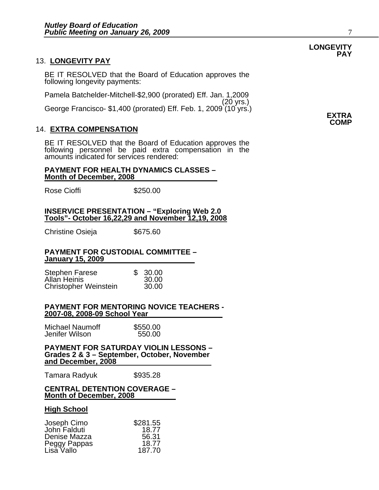#### 13. **LONGEVITY PAY**

BE IT RESOLVED that the Board of Education approves the following longevity payments:

Pamela Batchelder-Mitchell-\$2,900 (prorated) Eff. Jan. 1,2009 (20 yrs.) George Francisco- \$1,400 (prorated) Eff. Feb. 1, 2009 (10 yrs.) **EXTRA** 

#### 14. **EXTRA COMPENSATION**

BE IT RESOLVED that the Board of Education approves the following personnel be paid extra compensation in the amounts indicated for services rendered:

#### **PAYMENT FOR HEALTH DYNAMICS CLASSES – Month of December, 2008**

Rose Cioffi **\$250.00** 

#### **INSERVICE PRESENTATION – "Exploring Web 2.0 Tools"- October 16,22,29 and November 12,19, 2008**

Christine Osieja  $$675.60$ 

#### **PAYMENT FOR CUSTODIAL COMMITTEE – January 15, 2009**

| <b>Stephen Farese</b>        | \$30.00 |
|------------------------------|---------|
| Allan Heinis                 | 30.00   |
| <b>Christopher Weinstein</b> | 30.00   |

#### **PAYMENT FOR MENTORING NOVICE TEACHERS - 2007-08, 2008-09 School Year**

| <b>Michael Naumoff</b> | \$550.00 |
|------------------------|----------|
| Jenifer Wilson         | 550.00   |

**PAYMENT FOR SATURDAY VIOLIN LESSONS – Grades 2 & 3 – September, October, November and December, 2008**

Tamara Radyuk \$935.28

#### **CENTRAL DETENTION COVERAGE – Month of December, 2008**

#### **High School**

| Joseph Cimo  | \$281.55 |
|--------------|----------|
| John Falduti | 18.77    |
| Denise Mazza | 56.31    |
| Peggy Pappas | 18.77    |
| Lisa Vallo   | 187.70   |

#### **LONGEVITY PAY**

**COMP**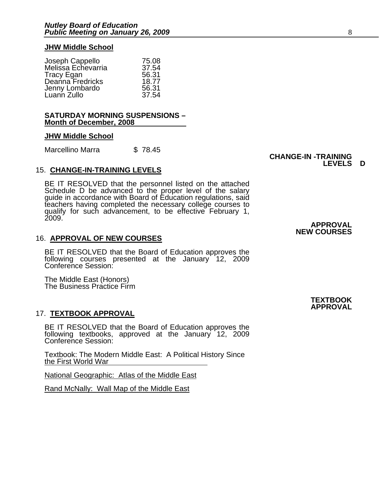#### **JHW Middle School**

| Joseph Cappello    | 75.08 |
|--------------------|-------|
| Melissa Echevarria | 37.54 |
| <b>Tracy Egan</b>  | 56.31 |
| Deanna Fredricks   | 18.77 |
| Jenny Lombardo     | 56.31 |
| Luann Zullo        | 37.54 |

#### **SATURDAY MORNING SUSPENSIONS – Month of December, 2008**

#### **JHW Middle School**

Marcellino Marra \$78.45

#### 15. **CHANGE-IN-TRAINING LEVELS**

BE IT RESOLVED that the personnel listed on the attached Schedule D be advanced to the proper level of the salary guide in accordance with Board of Education regulations, said<br>teachers having completed the necessary college courses to<br>qualify for such advancement, to be effective February 1, qualify for such advancement, to be effective February 1,<br>2009.

#### 16. **APPROVAL OF NEW COURSES**

BE IT RESOLVED that the Board of Education approves the following courses presented at the January 12, 2009 Conference Session:

The Middle East (Honors) The Business Practice Firm

#### 17. **TEXTBOOK APPROVAL**

BE IT RESOLVED that the Board of Education approves the following textbooks, approved at the January 12, 2009 Conference Session:

Textbook: The Modern Middle East: A Political History Since the First World War

National Geographic: Atlas of the Middle East

Rand McNally: Wall Map of the Middle East

 **CHANGE-IN -TRAINING LEVELS D** 

> **APPROVAL NEW COURSES**

> > **TEXTBOOK APPROVAL**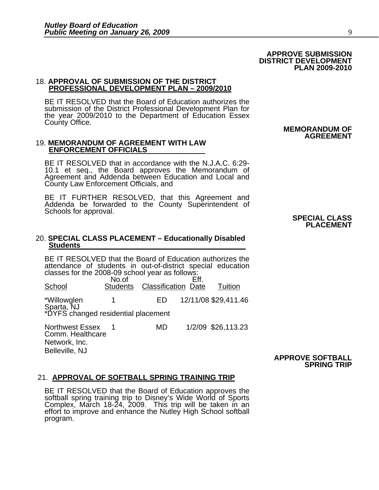### **DISTRICT DEVELOPMENT PLAN 2009-2010**

#### 18. **APPROVAL OF SUBMISSION OF THE DISTRICT PROFESSIONAL DEVELOPMENT PLAN – 2009/2010**

BE IT RESOLVED that the Board of Education authorizes the submission of the District Professional Development Plan for the year 2009/2010 to the Department of Education Essex County Office.

#### 19. **MEMORANDUM OF AGREEMENT WITH LAW ENFORCEMENT OFFICIALS**

BE IT RESOLVED that in accordance with the N.J.A.C. 6:29- 10.1 et seq., the Board approves the Memorandum of Agreement and Addenda between Education and Local and County Law Enforcement Officials, and

BE IT FURTHER RESOLVED, that this Agreement and Addenda be forwarded to the County Superintendent of Schools for approval. **Schools for approval. SPECIAL CLASS SPECIAL CLASS** 

### **PLACEMENT**

 **MEMORANDUM OF** 

**AGREEMENT** 

#### 20. **SPECIAL CLASS PLACEMENT – Educationally Disabled Students**

BE IT RESOLVED that the Board of Education authorizes the attendance of students in out-of-district special education<br>classes for the 2008-09 school year as follows:<br>No.of Eff. No.of<br>School Student Students Classification Date Tuition \*Willowglen 1 ED 12/11/08 \$29,411.46 Sparta, NJ \*DYFS changed residential placement Northwest Essex 1 MD 1/2/09 \$26,113.23Comm. Healthcare

> **APPROVE SOFTBALL SPRING TRIP**

#### 21. **APPROVAL OF SOFTBALL SPRING TRAINING TRIP**

Network, Inc. Belleville, NJ

BE IT RESOLVED that the Board of Education approves the softball spring training trip to Disney's Wide World of Sports Complex, March 18-24, 2009. This trip will be taken in an effort to improve and enhance the Nutley High program.

 **APPROVE SUBMISSION**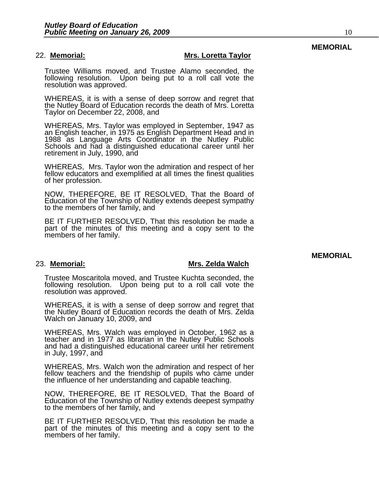#### 22. **Memorial: Mrs. Loretta Taylor**

Trustee Williams moved, and Trustee Alamo seconded, the following resolution. Upon being put to a roll call vote the resolution was approved.

WHEREAS, it is with a sense of deep sorrow and regret that the Nutley Board of Education records the death of Mrs. Loretta Taylor on December 22, 2008, and

WHEREAS, Mrs. Taylor was employed in September, 1947 as<br>an English teacher, in 1975 as English Department Head and in<br>1988 as Language Arts Coordinator in the Nutley Public Schools and had a distinguished educational career until her retirement in July, 1990, and

WHEREAS, Mrs. Taylor won the admiration and respect of her fellow educators and exemplified at all times the finest qualities of her profession.

NOW, THEREFORE, BE IT RESOLVED, That the Board of Education of the Township of Nutley extends deepest sympathy to the members of her family, and

BE IT FURTHER RESOLVED, That this resolution be made a part of the minutes of this meeting and a copy sent to the members of her family.

#### 23. **Memorial: Mrs. Zelda Walch**

Trustee Moscaritola moved, and Trustee Kuchta seconded, the following resolution. Upon being put to a roll call vote the resolution was approved.

WHEREAS, it is with a sense of deep sorrow and regret that the Nutley Board of Education records the death of Mrs. Zelda Walch on January 10, 2009, and

WHEREAS, Mrs. Walch was employed in October, 1962 as a teacher and in 1977 as librarian in the Nutley Public Schools and had a distinguished educational career until her retirement in July, 1997, and

WHEREAS, Mrs. Walch won the admiration and respect of her fellow teachers and the friendship of pupils who came under the influence of her understanding and capable teaching.

NOW, THEREFORE, BE IT RESOLVED, That the Board of Education of the Township of Nutley extends deepest sympathy to the members of her family, and

BE IT FURTHER RESOLVED, That this resolution be made a part of the minutes of this meeting and a copy sent to the members of her family.

#### **MEMORIAL**

**MEMORIAL**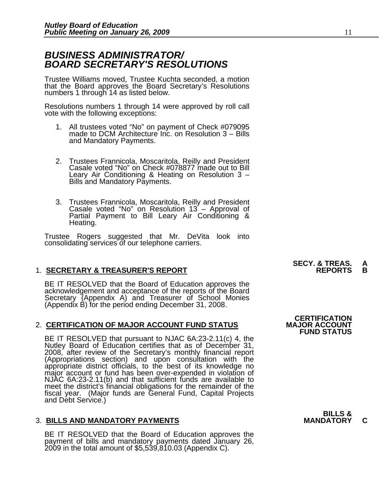### *BUSINESS ADMINISTRATOR/ BOARD SECRETARY'S RESOLUTIONS*

Trustee Williams moved, Trustee Kuchta seconded, a motion that the Board approves the Board Secretary's Resolutions numbers 1 through 14 as listed below.

Resolutions numbers 1 through 14 were approved by roll call vote with the following exceptions:

- 1. All trustees voted "No" on payment of Check #079095 made to DCM Architecture Inc. on Resolution 3 Bills and Mandatory Payments.
- 2. Trustees Frannicola, Moscaritola, Reilly and President Casale voted "No" on Check #078877 made out to Bill Leary Air Conditioning & Heating on Resolution 3 –<br>Bills and Mandatory Payments.
- 3. Trustees Frannicola, Moscaritola, Reilly and President Casale voted "No" on Resolution 13 Approval of Partial Payment to Bill Leary Air Conditioning & Heating.

Trustee Rogers suggested that Mr. DeVita look into consolidating services of our telephone carriers.

### **1. SECRETARY & TREASURER'S REPORT**

BE IT RESOLVED that the Board of Education approves the acknowledgement and acceptance of the reports of the Board<br>Secretary (Appendix A) and Treasurer of School Monies (Appendix B) for the period ending December 31, 2008.

### 2. **CERTIFICATION OF MAJOR ACCOUNT FUND STATUS**

BE IT RESOLVED that pursuant to NJAC 6A:23-2.11(c) 4, the Nutley Board of Education certifies that as of December 31, 2008, after review of the Secretary's monthly financial report (Appropriations section) and upon consultation with the<br>appropriate district officials, to the best of its knowledge no<br>major account or fund has been over-expended in violation of<br>NJAC 6A:23-2.11(b) and that sufficient fu NJAC 6A:23-2.11(b) and that sufficient funds are available to meet the district's financial obligations for the remainder of the fiscal year. (Major funds are General Fund, Capital Projects and Debt Service.)

### **3. BILLS AND MANDATORY PAYMENTS**

BE IT RESOLVED that the Board of Education approves the payment of bills and mandatory payments dated January 26, 2009 in the total amount of \$5,539,810.03 (Appendix C).

**SECY. & TREAS.<br>REPORTS** 

**CERTIFICATION<br>MAJOR ACCOUNT FUND STATUS**

**BILLS &**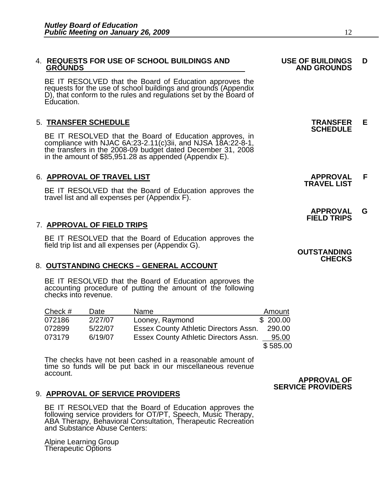## 4. **REQUESTS FOR USE OF SCHOOL BUILDINGS AND USE OF BUILDINGS D**

BE IT RESOLVED that the Board of Education approves the requests for the use of school buildings and grounds (Appendix D), that conform to the rules and regulations set by the Board of Education.

5. TRANSFER SCHEDULE<br>BE IT RESOLVED that the Board of Education approves, in **SCHEDULE** compliance with NJAC 6A:23-2.11(c)3ii, and NJSA 18A:22-8-1, the transfers in the 2008-09 budget dated December 31, 2008 in the amount of \$85,951.28 as appended (Appendix E).

### 6. **APPROVAL OF TRAVEL LIST APPROVAL F TRAVEL LIST**

BE IT RESOLVED that the Board of Education approves the travel list and all expenses per (Appendix F).

#### 7. **APPROVAL OF FIELD TRIPS**

BE IT RESOLVED that the Board of Education approves the<br>field trip list and all expenses per (Appendix G). **OUTSTANDING**<br>**CHECKS** 

#### 8. **OUTSTANDING CHECKS – GENERAL ACCOUNT**

BE IT RESOLVED that the Board of Education approves the accounting procedure of putting the amount of the following checks into revenue.

| Check # | Date    | Name                                         | Amount   |
|---------|---------|----------------------------------------------|----------|
| 072186  | 2/27/07 | Looney, Raymond                              | \$200.00 |
| 072899  | 5/22/07 | <b>Essex County Athletic Directors Assn.</b> | 290.00   |
| 073179  | 6/19/07 | Essex County Athletic Directors Assn.        | 95.00    |
|         |         |                                              | \$585.00 |

The checks have not been cashed in a reasonable amount of time so funds will be put back in our miscellaneous revenue account.

#### 9. **APPROVAL OF SERVICE PROVIDERS**

BE IT RESOLVED that the Board of Education approves the<br>following service providers for OT/PT, Speech, Music Therapy, ABA Therapy, Behavioral Consultation, Therapeutic Recreation<br>and Substance Abuse Centers:

Alpine Learning Group Therapeutic Options

## **APPROVAL OF SERVICE PROVIDERS**

 **GROUNDS AND GROUNDS** 

- **APPROVAL G FIELD TRIPS** 
	-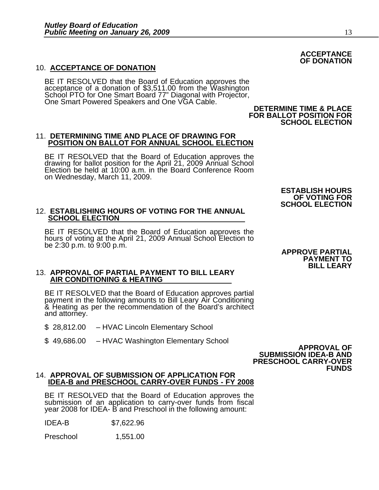#### 10. **ACCEPTANCE OF DONATION**

BE IT RESOLVED that the Board of Education approves the acceptance of a donation of \$3,511.00 from the Washington School PTO for One Smart Board 77" Diagonal with Projector,<br>One Smart Powered Speakers and One VGA Cable. One Smart Powered Speakers and One VGA Cable.<br>DETERMINE TIME & PLACE<br>FOR BALLOT POSITION FOR<br>SCHOOL ELECTION

#### **11. DETERMINING TIME AND PLACE OF DRAWING FOR POSITION ON BALLOT FOR ANNUAL SCHOOL ELECTION**

BE IT RESOLVED that the Board of Education approves the drawing for ballot position for the April 21, 2009 Annual School Election be held at 10:00 a.m. in the Board Conference Room on Wednesday, March 11, 2009.

#### 12. **ESTABLISHING HOURS OF VOTING FOR THE ANNUAL SCHOOL ELECTION**

BE IT RESOLVED that the Board of Education approves the<br>hours of voting at the April 21, 2009 Annual School Election to be 2:30 p.m. to 9:00 p.m. **APPROVE PARTIAL** 

## 13. **APPROVAL OF PARTIAL PAYMENT TO BILL LEARY AIR CONDITIONING & HEATING**

BE IT RESOLVED that the Board of Education approves partial payment in the following amounts to Bill Leary Air Conditioning & Heating as per the recommendation of the Board's architect and attorney.

- \$ 28,812.00 HVAC Lincoln Elementary School
- \$ 49,686.00 HVAC Washington Elementary School **APPROVAL OF**

 **SUBMISSION IDEA-B AND PRESCHOOL CARRY-OVER FUNDS** 

## 14. **APPROVAL OF SUBMISSION OF APPLICATION FOR**

BE IT RESOLVED that the Board of Education approves the submission of an application to carry-over funds from fiscal year 2008 for IDEA- B and Preschool in the following amount:

IDEA-B \$7,622.96

Preschool 1,551.00

#### **ESTABLISH HOURS OF VOTING FOR SCHOOL ELECTION**

## ${\sf ACCEPTANCE} \ \begin{matrix} \bf{O} & \bf{O} & \bf{O} \end{matrix}$

# **PAYMENT TO**

**BILL LEARY**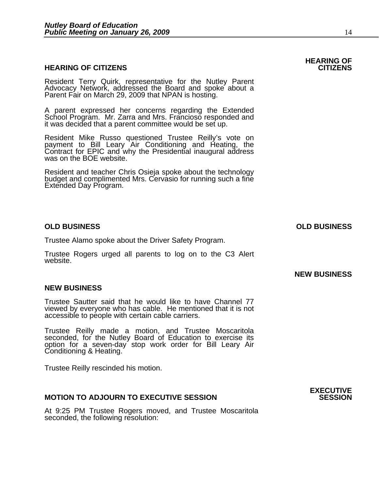#### **HEARING OF CITIZENS CITIZENS**

Resident Terry Quirk, representative for the Nutley Parent Advocacy Network, addressed the Board and spoke about a Parent Fair on March 29, 2009 that NPAN is hosting.

A parent expressed her concerns regarding the Extended School Program. Mr. Zarra and Mrs. Francioso responded and it was decided that a parent committee would be set up.

Resident Mike Russo questioned Trustee Reilly's vote on payment to Bill Leary Air Conditioning and Heating, the Contract for EPIC and why the Presidential inaugural address was on the BOE website.

Resident and teacher Chris Osieja spoke about the technology budget and complimented Mrs. Cervasio for running such a fine Extended Day Program.

#### **OLD BUSINESS OLD BUSINESS**

Trustee Alamo spoke about the Driver Safety Program.

Trustee Rogers urged all parents to log on to the C3 Alert website.

#### **NEW BUSINESS**

Trustee Sautter said that he would like to have Channel 77 viewed by everyone who has cable. He mentioned that it is not accessible to people with certain cable carriers.

Trustee Reilly made a motion, and Trustee Moscaritola seconded, for the Nutley Board of Education to exercise its option for a seven-day stop work order for Bill Leary Air Conditioning & Heating.

Trustee Reilly rescinded his motion.

#### **MOTION TO ADJOURN TO EXECUTIVE SESSION**

At 9:25 PM Trustee Rogers moved, and Trustee Moscaritola seconded, the following resolution:

## **HEARING OF**

### **NEW BUSINESS**

**EXECUTIVE**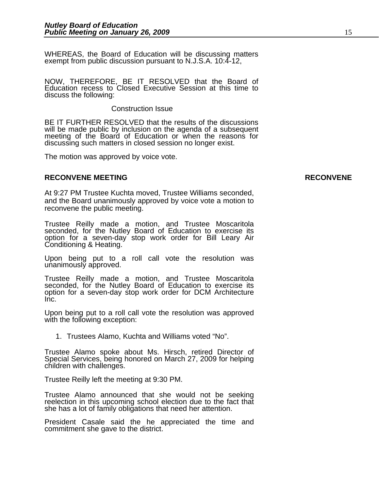WHEREAS, the Board of Education will be discussing matters exempt from public discussion pursuant to N.J.S.A. 10:4-12,

NOW, THEREFORE, BE IT RESOLVED that the Board of Education recess to Closed Executive Session at this time to discuss the following:

#### Construction Issue

 BE IT FURTHER RESOLVED that the results of the discussions will be made public by inclusion on the agenda of a subsequent meeting of the Board of Education or when the reasons for discussing such matters in closed session no longer exist.

The motion was approved by voice vote.

#### **RECONVENE MEETING RECONVENE**

At 9:27 PM Trustee Kuchta moved, Trustee Williams seconded, and the Board unanimously approved by voice vote a motion to reconvene the public meeting.

Trustee Reilly made a motion, and Trustee Moscaritola seconded, for the Nutley Board of Education to exercise its option for a seven-day stop work order for Bill Leary Air Conditioning & Heating.

Upon being put to a roll call vote the resolution was unanimously approved.

Trustee Reilly made a motion, and Trustee Moscaritola seconded, for the Nutley Board of Education to exercise its option for a seven-day stop work order for DCM Architecture Inc.

Upon being put to a roll call vote the resolution was approved with the following exception:

1. Trustees Alamo, Kuchta and Williams voted "No".

Trustee Alamo spoke about Ms. Hirsch, retired Director of Special Services, being honored on March 27, 2009 for helping children with challenges.

Trustee Reilly left the meeting at 9:30 PM.

Trustee Alamo announced that she would not be seeking reelection in this upcoming school election due to the fact that she has a lot of family obligations that need her attention.

President Casale said the he appreciated the time and commitment she gave to the district.